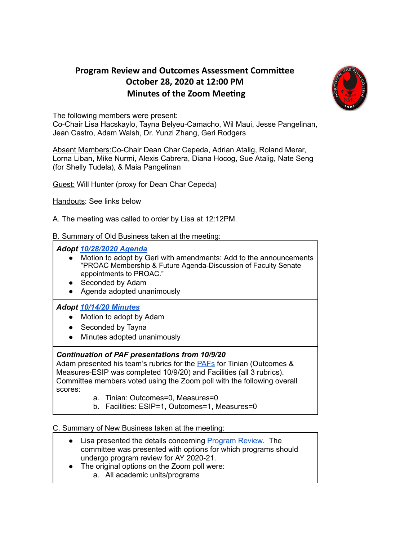## **Program Review and Outcomes Assessment Committee October 28, 2020 at 12:00 PM Minutes of the Zoom Meeting**



The following members were present:

Co-Chair Lisa Hacskaylo, Tayna Belyeu-Camacho, Wil Maui, Jesse Pangelinan, Jean Castro, Adam Walsh, Dr. Yunzi Zhang, Geri Rodgers

Absent Members: Co-Chair Dean Char Cepeda, Adrian Atalig, Roland Merar, Lorna Liban, Mike Nurmi, Alexis Cabrera, Diana Hocog, Sue Atalig, Nate Seng (for Shelly Tudela), & Maia Pangelinan

Guest: Will Hunter (proxy for Dean Char Cepeda)

Handouts: See links below

A. The meeting was called to order by Lisa at 12:12PM.

B. Summary of Old Business taken at the meeting:

*Adopt [10/28/2020](https://drive.google.com/file/d/1oUpgSPSNPQJ-qRcX85_vHf6hI3Jt9wkh/view?usp=sharing) Agenda*

- Motion to adopt by Geri with amendments: Add to the announcements "PROAC Membership & Future Agenda-Discussion of Faculty Senate appointments to PROAC."
- Seconded by Adam
- Agenda adopted unanimously

## *Adopt [10/14/20](https://drive.google.com/file/d/1yIfDTgE0lgPLacwGTcRB1fMa4Sg0Zb4I/view?usp=sharing) Minutes*

- Motion to adopt by Adam
- Seconded by Tayna
- Minutes adopted unanimously

## *Continuation of PAF presentations from 10/9/20*

Adam presented his team's rubrics for the [PAFs](https://docs.google.com/presentation/d/13d3jN5uCouyGh0loxcZjLtlzBLZyr-K9QIFxlfbVE-k/edit?usp=sharing) for Tinian (Outcomes & Measures-ESIP was completed 10/9/20) and Facilities (all 3 rubrics). Committee members voted using the Zoom poll with the following overall scores:

- a. Tinian: Outcomes=0, Measures=0
- b. Facilities: ESIP=1, Outcomes=1, Measures=0

## C. Summary of New Business taken at the meeting:

- Lisa presented the details concerning [Program](https://docs.google.com/spreadsheets/d/1ucoFUiMOBZDvFdiFIUiUtReGpi30UuDVJ-fNASvhC2Y/edit#gid=2011082543) Review. The committee was presented with options for which programs should undergo program review for AY 2020-21.
- The original options on the Zoom poll were:
	- a. All academic units/programs